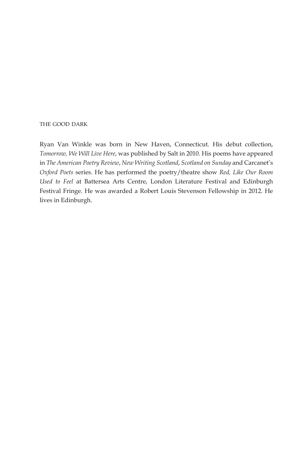#### the good dark

Ryan Van Winkle was born in New Haven, Connecticut. His debut collection, *Tomorrow, We Will Live Here*, was published by Salt in 2010. His poems have appeared in *The American Poetry Review*, *New Writing Scotland*, *Scotland on Sunday* and Carcanet's *Oxford Poets* series. He has performed the poetry/theatre show *Red, Like Our Room Used to Feel* at Battersea Arts Centre, London Literature Festival and Edinburgh Festival Fringe. He was awarded a Robert Louis Stevenson Fellowship in 2012. He lives in Edinburgh.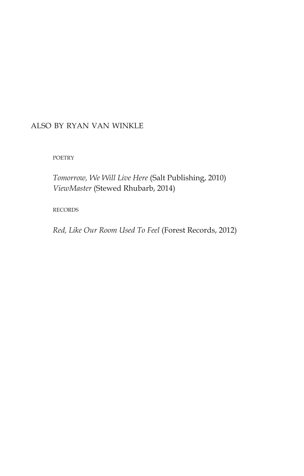## also by ryan van winkle

**POETRY** 

*Tomorrow, We Will Live Here* (Salt Publishing, 2010) *ViewMaster* (Stewed Rhubarb, 2014)

records

*Red, Like Our Room Used To Feel* (Forest Records, 2012)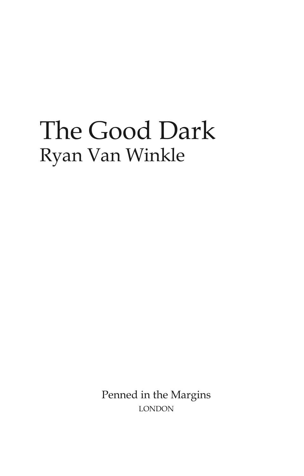## The Good Dark Ryan Van Winkle

Penned in the Margins london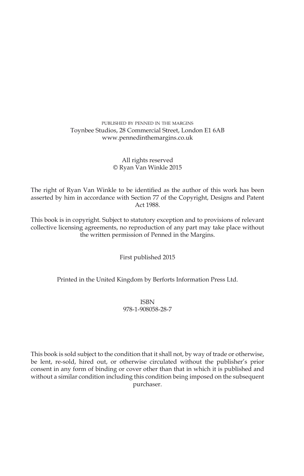#### published by penned in the margins Toynbee Studios, 28 Commercial Street, London E1 6AB www.pennedinthemargins.co.uk

#### All rights reserved © Ryan Van Winkle 2015

The right of Ryan Van Winkle to be identified as the author of this work has been asserted by him in accordance with Section 77 of the Copyright, Designs and Patent Act 1988.

This book is in copyright. Subject to statutory exception and to provisions of relevant collective licensing agreements, no reproduction of any part may take place without the written permission of Penned in the Margins.

First published 2015

Printed in the United Kingdom by Berforts Information Press Ltd.

ISBN 978-1-908058-28-7

This book is sold subject to the condition that it shall not, by way of trade or otherwise, be lent, re-sold, hired out, or otherwise circulated without the publisher's prior consent in any form of binding or cover other than that in which it is published and without a similar condition including this condition being imposed on the subsequent purchaser.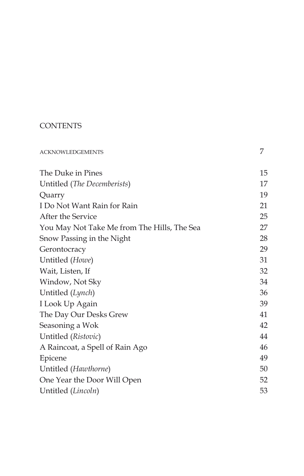## **CONTENTS**

| <b>ACKNOWLEDGEMENTS</b>                     | 7  |
|---------------------------------------------|----|
| The Duke in Pines                           | 15 |
| Untitled (The Decemberists)                 | 17 |
| Quarry                                      | 19 |
| I Do Not Want Rain for Rain                 | 21 |
| After the Service                           | 25 |
| You May Not Take Me from The Hills, The Sea | 27 |
| Snow Passing in the Night                   | 28 |
| Gerontocracy                                | 29 |
| Untitled (Howe)                             | 31 |
| Wait, Listen, If                            | 32 |
| Window, Not Sky                             | 34 |
| Untitled (Lynch)                            | 36 |
| I Look Up Again                             | 39 |
| The Day Our Desks Grew                      | 41 |
| Seasoning a Wok                             | 42 |
| Untitled (Ristovic)                         | 44 |
| A Raincoat, a Spell of Rain Ago             | 46 |
| Epicene                                     | 49 |
| Untitled (Hawthorne)                        | 50 |
| One Year the Door Will Open                 | 52 |
| Untitled (Lincoln)                          | 53 |
|                                             |    |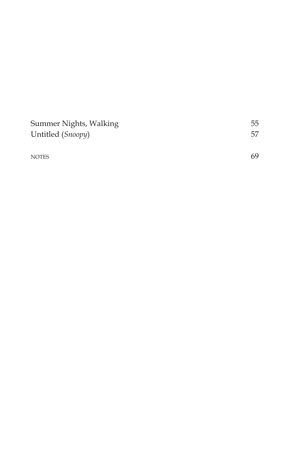| Summer Nights, Walking | 55 |
|------------------------|----|
| Untitled (Snoopy)      | 57 |
|                        |    |
| <b>NOTES</b>           | 69 |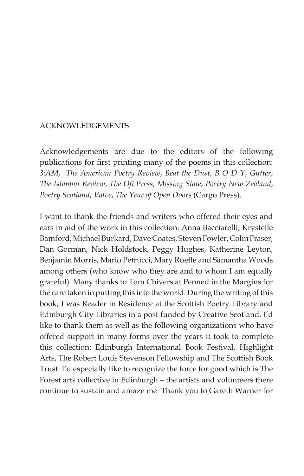### acknowledgements

Acknowledgements are due to the editors of the following publications for first printing many of the poems in this collection: *3:AM*, *The American Poetry Review*, *Beat the Dust*, *B O D Y*, *Gutter*, *The Istanbul Review*, *The Ofi Press*, *Missing Slate*, *Poetry New Zealand*, *Poetry Scotland*, *Valve*, *The Year of Open Doors* (Cargo Press).

I want to thank the friends and writers who offered their eyes and ears in aid of the work in this collection: Anna Bacciarelli, Krystelle Bamford, Michael Burkard, Dave Coates, Steven Fowler, Colin Fraser, Dan Gorman, Nick Holdstock, Peggy Hughes, Katherine Leyton, Benjamin Morris, Mario Petrucci, Mary Ruefle and Samantha Woods among others (who know who they are and to whom I am equally grateful). Many thanks to Tom Chivers at Penned in the Margins for the care taken in putting this into the world. During the writing of this book, I was Reader in Residence at the Scottish Poetry Library and Edinburgh City Libraries in a post funded by Creative Scotland, I'd like to thank them as well as the following organizations who have offered support in many forms over the years it took to complete this collection: Edinburgh International Book Festival, Highlight Arts, The Robert Louis Stevenson Fellowship and The Scottish Book Trust. I'd especially like to recognize the force for good which is The Forest arts collective in Edinburgh – the artists and volunteers there continue to sustain and amaze me. Thank you to Gareth Warner for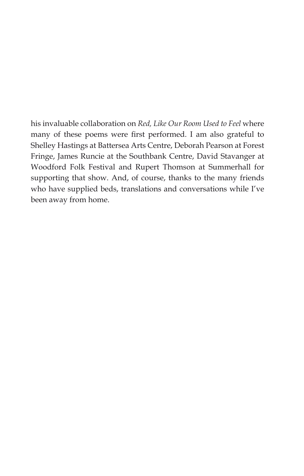his invaluable collaboration on *Red, Like Our Room Used to Feel* where many of these poems were first performed. I am also grateful to Shelley Hastings at Battersea Arts Centre, Deborah Pearson at Forest Fringe, James Runcie at the Southbank Centre, David Stavanger at Woodford Folk Festival and Rupert Thomson at Summerhall for supporting that show. And, of course, thanks to the many friends who have supplied beds, translations and conversations while I've been away from home.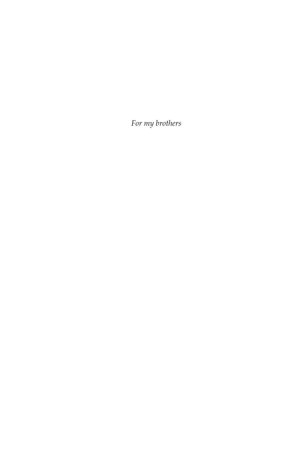*For my brothers*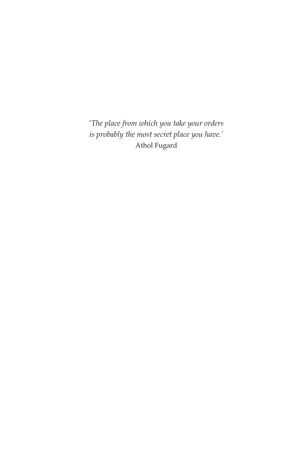*'The place from which you take your orders is probably the most secret place you have.'* Athol Fugard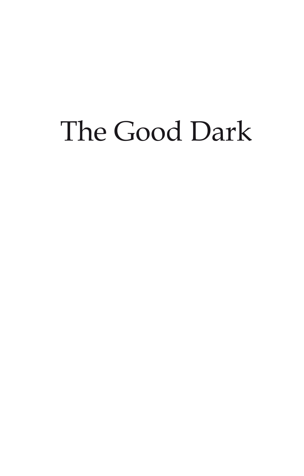# The Good Dark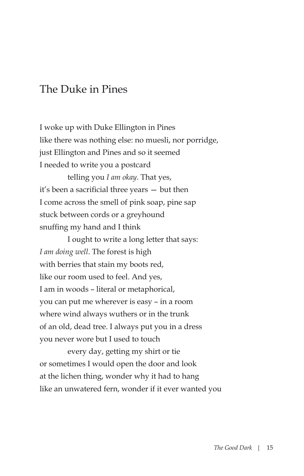## The Duke in Pines

I woke up with Duke Ellington in Pines like there was nothing else: no muesli, nor porridge, just Ellington and Pines and so it seemed I needed to write you a postcard

telling you *I am okay*. That yes, it's been a sacrificial three years — but then I come across the smell of pink soap, pine sap stuck between cords or a greyhound snuffing my hand and I think

I ought to write a long letter that says: *I am doing well*. The forest is high with berries that stain my boots red, like our room used to feel. And yes, I am in woods – literal or metaphorical, you can put me wherever is easy – in a room where wind always wuthers or in the trunk of an old, dead tree. I always put you in a dress you never wore but I used to touch

every day, getting my shirt or tie or sometimes I would open the door and look at the lichen thing, wonder why it had to hang like an unwatered fern, wonder if it ever wanted you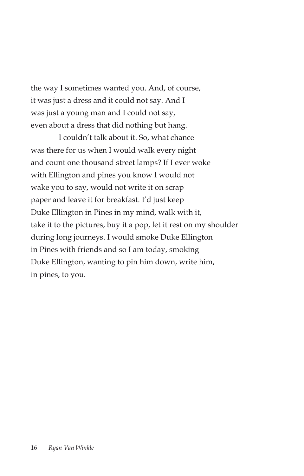the way I sometimes wanted you. And, of course, it was just a dress and it could not say. And I was just a young man and I could not say, even about a dress that did nothing but hang.

I couldn't talk about it. So, what chance was there for us when I would walk every night and count one thousand street lamps? If I ever woke with Ellington and pines you know I would not wake you to say, would not write it on scrap paper and leave it for breakfast. I'd just keep Duke Ellington in Pines in my mind, walk with it, take it to the pictures, buy it a pop, let it rest on my shoulder during long journeys. I would smoke Duke Ellington in Pines with friends and so I am today, smoking Duke Ellington, wanting to pin him down, write him, in pines, to you.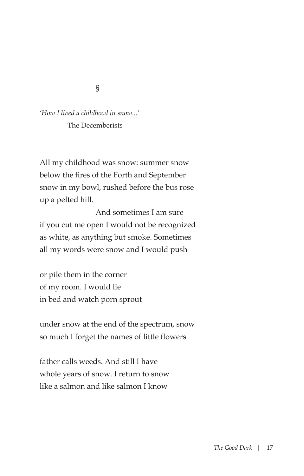§

*'How I lived a childhood in snow...'* The Decemberists

All my childhood was snow: summer snow below the fires of the Forth and September snow in my bowl, rushed before the bus rose up a pelted hill.

 And sometimes I am sure if you cut me open I would not be recognized as white, as anything but smoke. Sometimes all my words were snow and I would push

or pile them in the corner of my room. I would lie in bed and watch porn sprout

under snow at the end of the spectrum, snow so much I forget the names of little flowers

father calls weeds. And still I have whole years of snow. I return to snow like a salmon and like salmon I know